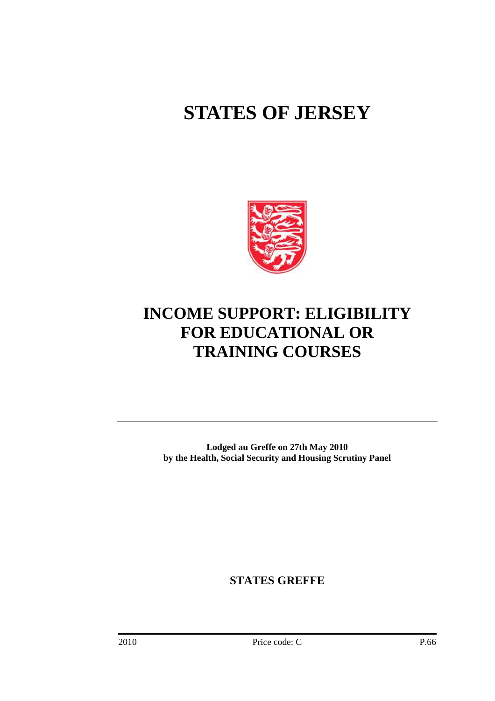# **STATES OF JERSEY**



# **INCOME SUPPORT: ELIGIBILITY FOR EDUCATIONAL OR TRAINING COURSES**

**Lodged au Greffe on 27th May 2010 by the Health, Social Security and Housing Scrutiny Panel** 

**STATES GREFFE**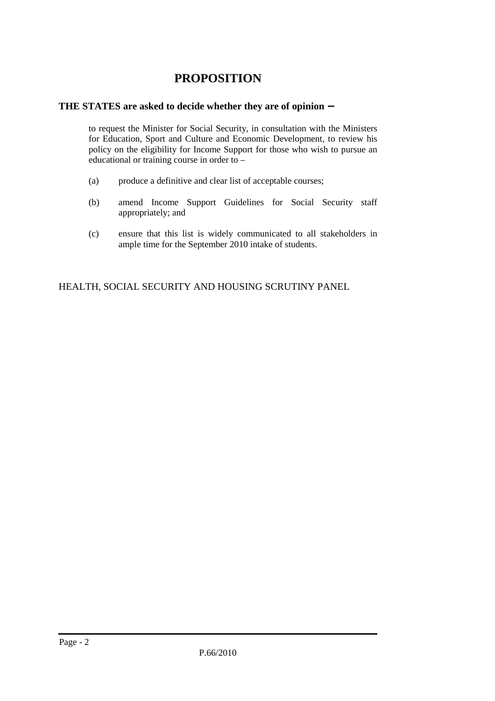# **PROPOSITION**

# **THE STATES are asked to decide whether they are of opinion** −

 to request the Minister for Social Security, in consultation with the Ministers for Education, Sport and Culture and Economic Development, to review his policy on the eligibility for Income Support for those who wish to pursue an educational or training course in order to –

- (a) produce a definitive and clear list of acceptable courses;
- (b) amend Income Support Guidelines for Social Security staff appropriately; and
- (c) ensure that this list is widely communicated to all stakeholders in ample time for the September 2010 intake of students.

HEALTH, SOCIAL SECURITY AND HOUSING SCRUTINY PANEL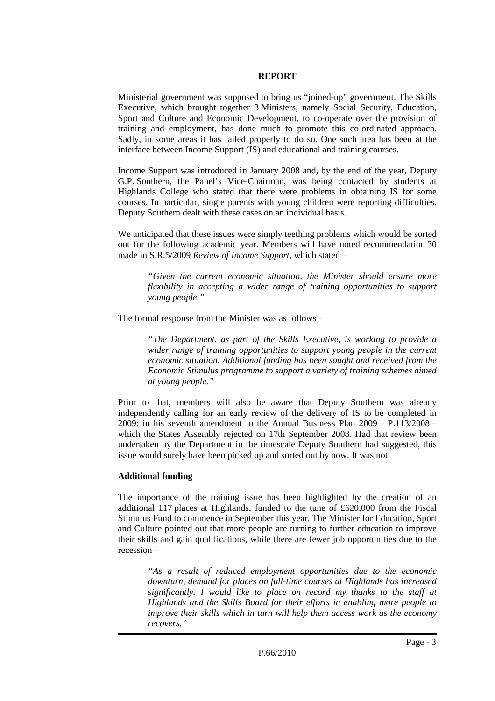#### **REPORT**

Ministerial government was supposed to bring us "joined-up" government. The Skills Executive, which brought together 3 Ministers, namely Social Security, Education, Sport and Culture and Economic Development, to co-operate over the provision of training and employment, has done much to promote this co-ordinated approach. Sadly, in some areas it has failed properly to do so. One such area has been at the interface between Income Support (IS) and educational and training courses.

Income Support was introduced in January 2008 and, by the end of the year, Deputy G.P. Southern, the Panel's Vice-Chairman, was being contacted by students at Highlands College who stated that there were problems in obtaining IS for some courses. In particular, single parents with young children were reporting difficulties. Deputy Southern dealt with these cases on an individual basis.

We anticipated that these issues were simply teething problems which would be sorted out for the following academic year. Members will have noted recommendation 30 made in S.R.5/2009 *Review of Income Support*, which stated –

*"Given the current economic situation, the Minister should ensure more flexibility in accepting a wider range of training opportunities to support young people."* 

The formal response from the Minister was as follows –

*"The Department, as part of the Skills Executive, is working to provide a wider range of training opportunities to support young people in the current economic situation. Additional funding has been sought and received from the Economic Stimulus programme to support a variety of training schemes aimed at young people."* 

Prior to that, members will also be aware that Deputy Southern was already independently calling for an early review of the delivery of IS to be completed in 2009: in his seventh amendment to the Annual Business Plan 2009 – P.113/2008 – which the States Assembly rejected on 17th September 2008. Had that review been undertaken by the Department in the timescale Deputy Southern had suggested, this issue would surely have been picked up and sorted out by now. It was not.

#### **Additional funding**

The importance of the training issue has been highlighted by the creation of an additional 117 places at Highlands, funded to the tune of £620,000 from the Fiscal Stimulus Fund to commence in September this year. The Minister for Education, Sport and Culture pointed out that more people are turning to further education to improve their skills and gain qualifications, while there are fewer job opportunities due to the recession –

*"As a result of reduced employment opportunities due to the economic downturn, demand for places on full-time courses at Highlands has increased significantly. I would like to place on record my thanks to the staff at Highlands and the Skills Board for their efforts in enabling more people to improve their skills which in turn will help them access work as the economy recovers."*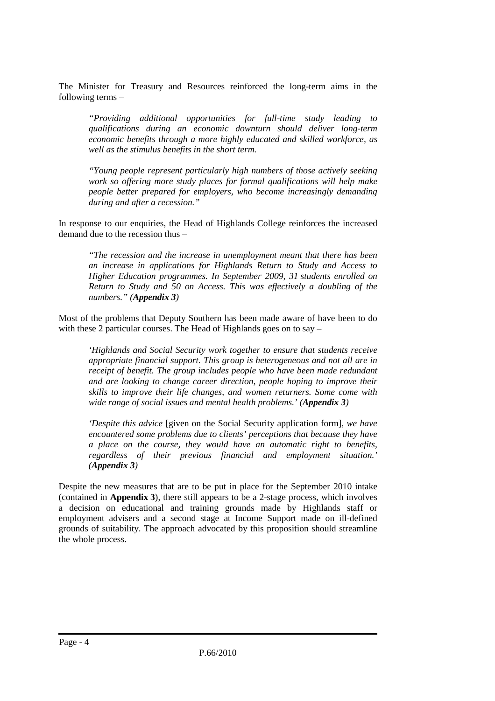The Minister for Treasury and Resources reinforced the long-term aims in the following terms –

*"Providing additional opportunities for full-time study leading to qualifications during an economic downturn should deliver long-term economic benefits through a more highly educated and skilled workforce, as well as the stimulus benefits in the short term.* 

*"Young people represent particularly high numbers of those actively seeking work so offering more study places for formal qualifications will help make people better prepared for employers, who become increasingly demanding during and after a recession."* 

In response to our enquiries, the Head of Highlands College reinforces the increased demand due to the recession thus –

*"The recession and the increase in unemployment meant that there has been an increase in applications for Highlands Return to Study and Access to Higher Education programmes. In September 2009, 31 students enrolled on Return to Study and 50 on Access. This was effectively a doubling of the numbers." (Appendix 3)*

Most of the problems that Deputy Southern has been made aware of have been to do with these 2 particular courses. The Head of Highlands goes on to say –

*'Highlands and Social Security work together to ensure that students receive appropriate financial support. This group is heterogeneous and not all are in receipt of benefit. The group includes people who have been made redundant and are looking to change career direction, people hoping to improve their skills to improve their life changes, and women returners. Some come with wide range of social issues and mental health problems.' (Appendix 3)* 

*'Despite this advice* [given on the Social Security application form]*, we have encountered some problems due to clients' perceptions that because they have a place on the course, they would have an automatic right to benefits, regardless of their previous financial and employment situation.' (Appendix 3)* 

Despite the new measures that are to be put in place for the September 2010 intake (contained in **Appendix 3**), there still appears to be a 2-stage process, which involves a decision on educational and training grounds made by Highlands staff or employment advisers and a second stage at Income Support made on ill-defined grounds of suitability. The approach advocated by this proposition should streamline the whole process.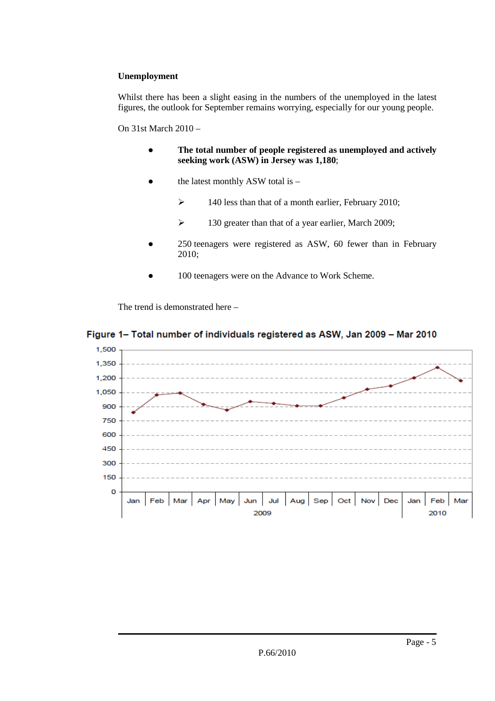# **Unemployment**

Whilst there has been a slight easing in the numbers of the unemployed in the latest figures, the outlook for September remains worrying, especially for our young people.

#### On 31st March 2010 –

- **The total number of people registered as unemployed and actively seeking work (ASW) in Jersey was 1,180**;
- the latest monthly ASW total is  $-$ 
	- $\blacktriangleright$  140 less than that of a month earlier, February 2010;
	- $\blacktriangleright$  130 greater than that of a year earlier, March 2009;
- 250 teenagers were registered as ASW, 60 fewer than in February 2010;
- 100 teenagers were on the Advance to Work Scheme.

The trend is demonstrated here –

# Figure 1- Total number of individuals registered as ASW, Jan 2009 - Mar 2010

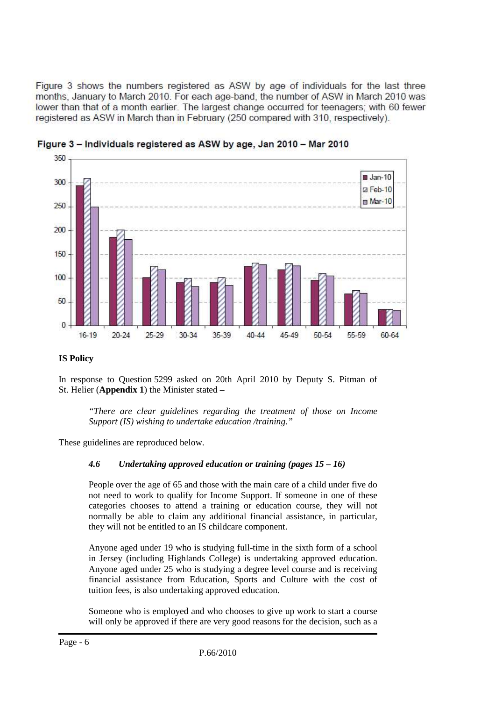Figure 3 shows the numbers registered as ASW by age of individuals for the last three months. January to March 2010. For each age-band, the number of ASW in March 2010 was lower than that of a month earlier. The largest change occurred for teenagers; with 60 fewer registered as ASW in March than in February (250 compared with 310, respectively).



Figure 3 - Individuals registered as ASW by age, Jan 2010 - Mar 2010

# **IS Policy**

In response to Question 5299 asked on 20th April 2010 by Deputy S. Pitman of St. Helier (**Appendix 1**) the Minister stated –

*"There are clear guidelines regarding the treatment of those on Income Support (IS) wishing to undertake education /training."* 

These guidelines are reproduced below.

# *4.6 Undertaking approved education or training (pages 15 – 16)*

People over the age of 65 and those with the main care of a child under five do not need to work to qualify for Income Support. If someone in one of these categories chooses to attend a training or education course, they will not normally be able to claim any additional financial assistance, in particular, they will not be entitled to an IS childcare component.

Anyone aged under 19 who is studying full-time in the sixth form of a school in Jersey (including Highlands College) is undertaking approved education. Anyone aged under 25 who is studying a degree level course and is receiving financial assistance from Education, Sports and Culture with the cost of tuition fees, is also undertaking approved education.

Someone who is employed and who chooses to give up work to start a course will only be approved if there are very good reasons for the decision, such as a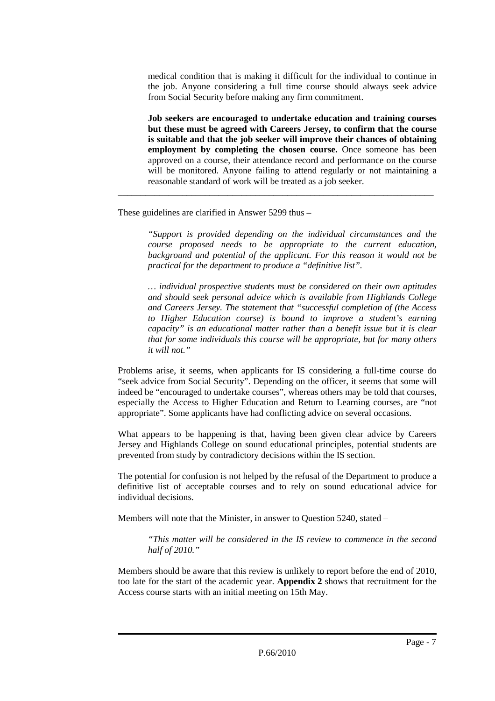medical condition that is making it difficult for the individual to continue in the job. Anyone considering a full time course should always seek advice from Social Security before making any firm commitment.

**Job seekers are encouraged to undertake education and training courses but these must be agreed with Careers Jersey, to confirm that the course is suitable and that the job seeker will improve their chances of obtaining employment by completing the chosen course.** Once someone has been approved on a course, their attendance record and performance on the course will be monitored. Anyone failing to attend regularly or not maintaining a reasonable standard of work will be treated as a job seeker.

\_\_\_\_\_\_\_\_\_\_\_\_\_\_\_\_\_\_\_\_\_\_\_\_\_\_\_\_\_\_\_\_\_\_\_\_\_\_\_\_\_\_\_\_\_\_\_\_\_\_\_\_\_\_\_\_\_\_\_\_\_\_\_\_\_\_\_\_\_

These guidelines are clarified in Answer 5299 thus –

*"Support is provided depending on the individual circumstances and the course proposed needs to be appropriate to the current education, background and potential of the applicant. For this reason it would not be practical for the department to produce a "definitive list".* 

*… individual prospective students must be considered on their own aptitudes and should seek personal advice which is available from Highlands College and Careers Jersey. The statement that "successful completion of (the Access to Higher Education course) is bound to improve a student's earning capacity" is an educational matter rather than a benefit issue but it is clear that for some individuals this course will be appropriate, but for many others it will not."* 

Problems arise, it seems, when applicants for IS considering a full-time course do "seek advice from Social Security". Depending on the officer, it seems that some will indeed be "encouraged to undertake courses", whereas others may be told that courses, especially the Access to Higher Education and Return to Learning courses, are "not appropriate". Some applicants have had conflicting advice on several occasions.

What appears to be happening is that, having been given clear advice by Careers Jersey and Highlands College on sound educational principles, potential students are prevented from study by contradictory decisions within the IS section.

The potential for confusion is not helped by the refusal of the Department to produce a definitive list of acceptable courses and to rely on sound educational advice for individual decisions.

Members will note that the Minister, in answer to Question 5240, stated –

*"This matter will be considered in the IS review to commence in the second half of 2010."* 

Members should be aware that this review is unlikely to report before the end of 2010, too late for the start of the academic year. **Appendix 2** shows that recruitment for the Access course starts with an initial meeting on 15th May.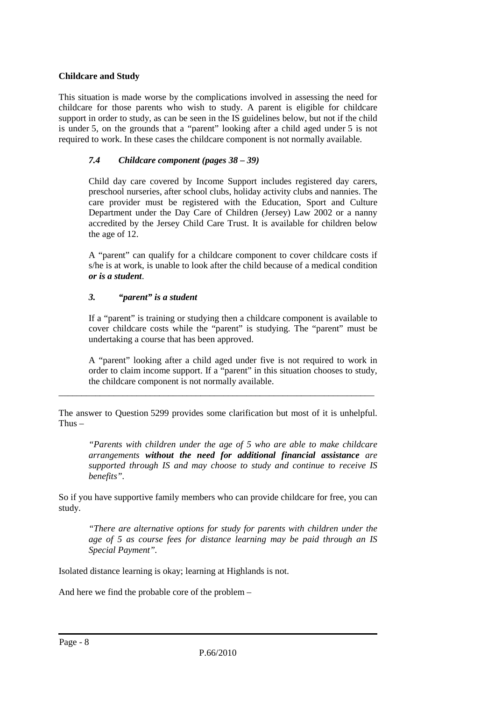# **Childcare and Study**

This situation is made worse by the complications involved in assessing the need for childcare for those parents who wish to study. A parent is eligible for childcare support in order to study, as can be seen in the IS guidelines below, but not if the child is under 5, on the grounds that a "parent" looking after a child aged under 5 is not required to work. In these cases the childcare component is not normally available.

# *7.4 Childcare component (pages 38 – 39)*

Child day care covered by Income Support includes registered day carers, preschool nurseries, after school clubs, holiday activity clubs and nannies. The care provider must be registered with the Education, Sport and Culture Department under the Day Care of Children (Jersey) Law 2002 or a nanny accredited by the Jersey Child Care Trust. It is available for children below the age of 12.

A "parent" can qualify for a childcare component to cover childcare costs if s/he is at work, is unable to look after the child because of a medical condition *or is a student*.

# *3. "parent" is a student*

If a "parent" is training or studying then a childcare component is available to cover childcare costs while the "parent" is studying. The "parent" must be undertaking a course that has been approved.

A "parent" looking after a child aged under five is not required to work in order to claim income support. If a "parent" in this situation chooses to study, the childcare component is not normally available.

The answer to Question 5299 provides some clarification but most of it is unhelpful. Thus  $-$ 

\_\_\_\_\_\_\_\_\_\_\_\_\_\_\_\_\_\_\_\_\_\_\_\_\_\_\_\_\_\_\_\_\_\_\_\_\_\_\_\_\_\_\_\_\_\_\_\_\_\_\_\_\_\_\_\_\_\_\_\_\_\_\_\_\_\_\_\_\_

*"Parents with children under the age of 5 who are able to make childcare arrangements without the need for additional financial assistance are supported through IS and may choose to study and continue to receive IS benefits".* 

So if you have supportive family members who can provide childcare for free, you can study.

*"There are alternative options for study for parents with children under the age of 5 as course fees for distance learning may be paid through an IS Special Payment".* 

Isolated distance learning is okay; learning at Highlands is not.

And here we find the probable core of the problem –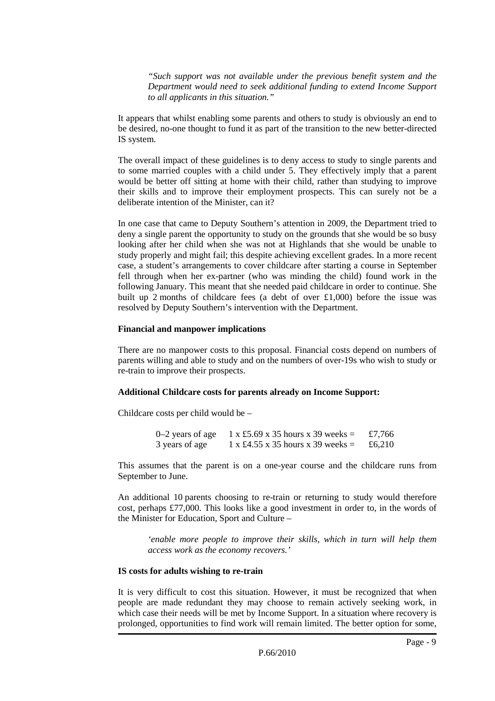*"Such support was not available under the previous benefit system and the Department would need to seek additional funding to extend Income Support to all applicants in this situation."* 

It appears that whilst enabling some parents and others to study is obviously an end to be desired, no-one thought to fund it as part of the transition to the new better-directed IS system.

The overall impact of these guidelines is to deny access to study to single parents and to some married couples with a child under 5. They effectively imply that a parent would be better off sitting at home with their child, rather than studying to improve their skills and to improve their employment prospects. This can surely not be a deliberate intention of the Minister, can it?

In one case that came to Deputy Southern's attention in 2009, the Department tried to deny a single parent the opportunity to study on the grounds that she would be so busy looking after her child when she was not at Highlands that she would be unable to study properly and might fail; this despite achieving excellent grades. In a more recent case, a student's arrangements to cover childcare after starting a course in September fell through when her ex-partner (who was minding the child) found work in the following January. This meant that she needed paid childcare in order to continue. She built up 2 months of childcare fees (a debt of over  $\pounds1,000$ ) before the issue was resolved by Deputy Southern's intervention with the Department.

#### **Financial and manpower implications**

There are no manpower costs to this proposal. Financial costs depend on numbers of parents willing and able to study and on the numbers of over-19s who wish to study or re-train to improve their prospects.

## **Additional Childcare costs for parents already on Income Support:**

Childcare costs per child would be –

0–2 years of age 1 x £5.69 x 35 hours x 39 weeks =  $\text{\textsterling}7,766$ 3 years of age  $1 \times £4.55 \times 35$  hours  $x = 39$  weeks =  $£6,210$ 

This assumes that the parent is on a one-year course and the childcare runs from September to June.

An additional 10 parents choosing to re-train or returning to study would therefore cost, perhaps £77,000. This looks like a good investment in order to, in the words of the Minister for Education, Sport and Culture –

*'enable more people to improve their skills, which in turn will help them access work as the economy recovers.'* 

#### **IS costs for adults wishing to re-train**

It is very difficult to cost this situation. However, it must be recognized that when people are made redundant they may choose to remain actively seeking work, in which case their needs will be met by Income Support. In a situation where recovery is prolonged, opportunities to find work will remain limited. The better option for some,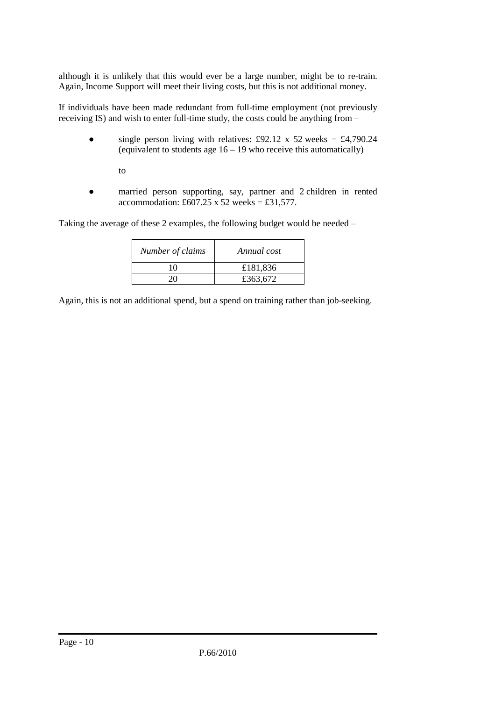although it is unlikely that this would ever be a large number, might be to re-train. Again, Income Support will meet their living costs, but this is not additional money.

If individuals have been made redundant from full-time employment (not previously receiving IS) and wish to enter full-time study, the costs could be anything from –

• single person living with relatives: £92.12 x 52 weeks =  $\text{\pounds}4,790.24$ (equivalent to students age 16 – 19 who receive this automatically)

to

● married person supporting, say, partner and 2 children in rented accommodation: £607.25 x 52 weeks = £31,577.

Taking the average of these 2 examples, the following budget would be needed –

| Number of claims | Annual cost |
|------------------|-------------|
| 10               | £181,836    |
|                  | £363,672    |

Again, this is not an additional spend, but a spend on training rather than job-seeking.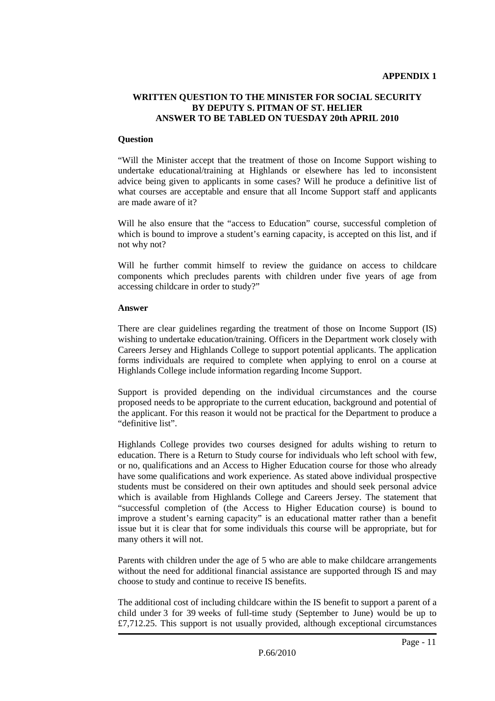#### **WRITTEN QUESTION TO THE MINISTER FOR SOCIAL SECURITY BY DEPUTY S. PITMAN OF ST. HELIER ANSWER TO BE TABLED ON TUESDAY 20th APRIL 2010**

#### **Question**

"Will the Minister accept that the treatment of those on Income Support wishing to undertake educational/training at Highlands or elsewhere has led to inconsistent advice being given to applicants in some cases? Will he produce a definitive list of what courses are acceptable and ensure that all Income Support staff and applicants are made aware of it?

Will he also ensure that the "access to Education" course, successful completion of which is bound to improve a student's earning capacity, is accepted on this list, and if not why not?

Will he further commit himself to review the guidance on access to childcare components which precludes parents with children under five years of age from accessing childcare in order to study?"

#### **Answer**

There are clear guidelines regarding the treatment of those on Income Support (IS) wishing to undertake education/training. Officers in the Department work closely with Careers Jersey and Highlands College to support potential applicants. The application forms individuals are required to complete when applying to enrol on a course at Highlands College include information regarding Income Support.

Support is provided depending on the individual circumstances and the course proposed needs to be appropriate to the current education, background and potential of the applicant. For this reason it would not be practical for the Department to produce a "definitive list".

Highlands College provides two courses designed for adults wishing to return to education. There is a Return to Study course for individuals who left school with few, or no, qualifications and an Access to Higher Education course for those who already have some qualifications and work experience. As stated above individual prospective students must be considered on their own aptitudes and should seek personal advice which is available from Highlands College and Careers Jersey. The statement that "successful completion of (the Access to Higher Education course) is bound to improve a student's earning capacity" is an educational matter rather than a benefit issue but it is clear that for some individuals this course will be appropriate, but for many others it will not.

Parents with children under the age of 5 who are able to make childcare arrangements without the need for additional financial assistance are supported through IS and may choose to study and continue to receive IS benefits.

The additional cost of including childcare within the IS benefit to support a parent of a child under 3 for 39 weeks of full-time study (September to June) would be up to  $£7,712.25$ . This support is not usually provided, although exceptional circumstances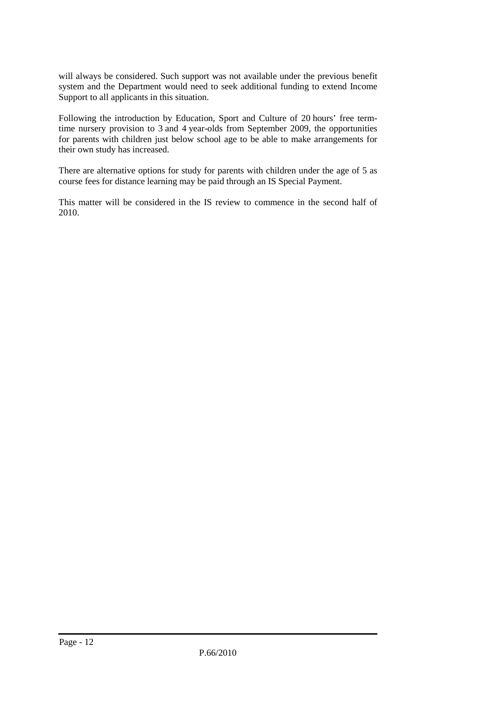will always be considered. Such support was not available under the previous benefit system and the Department would need to seek additional funding to extend Income Support to all applicants in this situation.

Following the introduction by Education, Sport and Culture of 20 hours' free termtime nursery provision to 3 and 4 year-olds from September 2009, the opportunities for parents with children just below school age to be able to make arrangements for their own study has increased.

There are alternative options for study for parents with children under the age of 5 as course fees for distance learning may be paid through an IS Special Payment.

This matter will be considered in the IS review to commence in the second half of 2010.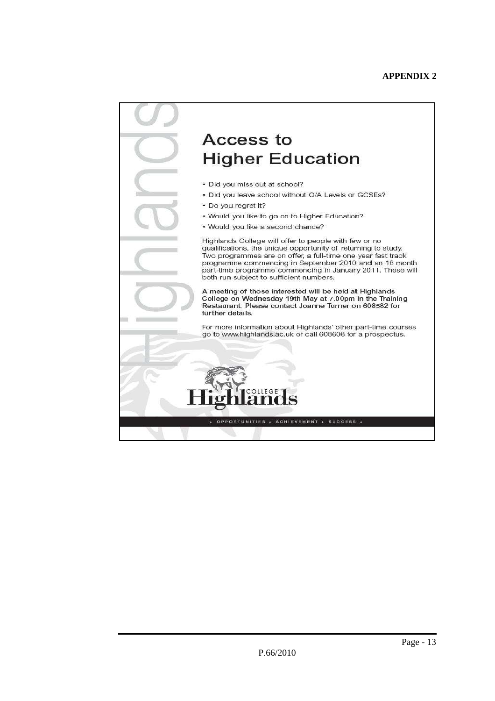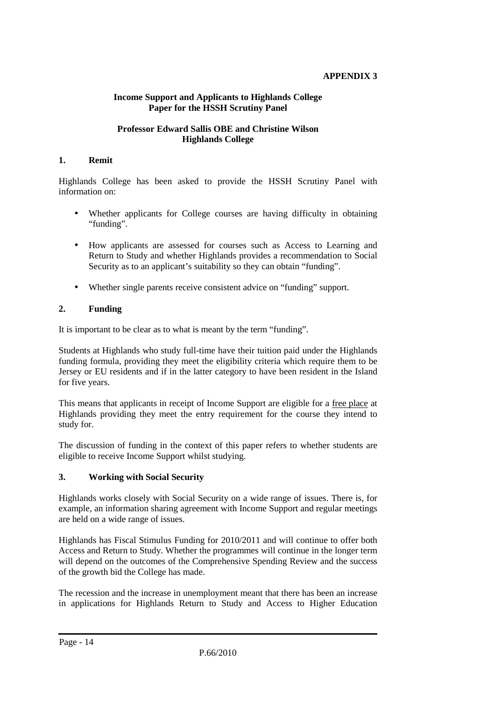# **APPENDIX 3**

#### **Income Support and Applicants to Highlands College Paper for the HSSH Scrutiny Panel**

#### **Professor Edward Sallis OBE and Christine Wilson Highlands College**

#### **1. Remit**

Highlands College has been asked to provide the HSSH Scrutiny Panel with information on:

- Whether applicants for College courses are having difficulty in obtaining "funding".
- How applicants are assessed for courses such as Access to Learning and Return to Study and whether Highlands provides a recommendation to Social Security as to an applicant's suitability so they can obtain "funding".
- Whether single parents receive consistent advice on "funding" support.

# **2. Funding**

It is important to be clear as to what is meant by the term "funding".

Students at Highlands who study full-time have their tuition paid under the Highlands funding formula, providing they meet the eligibility criteria which require them to be Jersey or EU residents and if in the latter category to have been resident in the Island for five years.

This means that applicants in receipt of Income Support are eligible for a free place at Highlands providing they meet the entry requirement for the course they intend to study for.

The discussion of funding in the context of this paper refers to whether students are eligible to receive Income Support whilst studying.

## **3. Working with Social Security**

Highlands works closely with Social Security on a wide range of issues. There is, for example, an information sharing agreement with Income Support and regular meetings are held on a wide range of issues.

Highlands has Fiscal Stimulus Funding for 2010/2011 and will continue to offer both Access and Return to Study. Whether the programmes will continue in the longer term will depend on the outcomes of the Comprehensive Spending Review and the success of the growth bid the College has made.

The recession and the increase in unemployment meant that there has been an increase in applications for Highlands Return to Study and Access to Higher Education